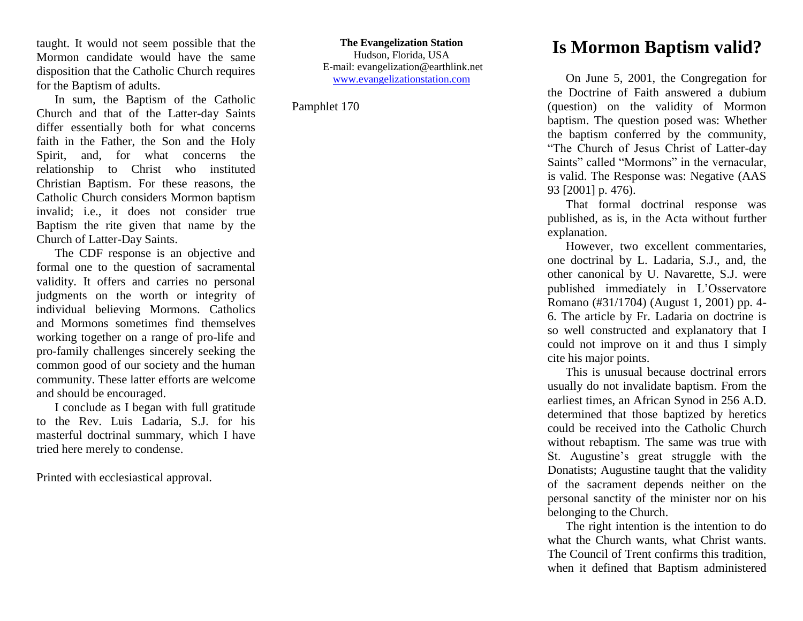taught. It would not seem possible that the Mormon candidate would have the same disposition that the Catholic Church requires for the Baptism of adults.

In sum, the Baptism of the Catholic Church and that of the Latter-day Saints differ essentially both for what concerns faith in the Father, the Son and the Holy Spirit, and, for what concerns the relationship to Christ who instituted Christian Baptism. For these reasons, the Catholic Church considers Mormon baptism invalid; i.e., it does not consider true Baptism the rite given that name by the Church of Latter-Day Saints.

The CDF response is an objective and formal one to the question of sacramental validity. It offers and carries no personal judgments on the worth or integrity of individual believing Mormons. Catholics and Mormons sometimes find themselves working together on a range of pro-life and pro-family challenges sincerely seeking the common good of our society and the human community. These latter efforts are welcome and should be encouraged.

I conclude as I began with full gratitude to the Rev. Luis Ladaria, S.J. for his masterful doctrinal summary, which I have tried here merely to condense.

Printed with ecclesiastical approval.

**The Evangelization Station** Hudson, Florida, USA E-mail: evangelization@earthlink.net [www.evangelizationstation.com](http://www.pjpiisoe.org/)

Pamphlet 170

## **Is Mormon Baptism valid?**

On June 5, 2001, the Congregation for the Doctrine of Faith answered a dubium (question) on the validity of Mormon baptism. The question posed was: Whether the baptism conferred by the community, "The Church of Jesus Christ of Latter-day Saints" called "Mormons" in the vernacular, is valid. The Response was: Negative (AAS 93 [2001] p. 476).

That formal doctrinal response was published, as is, in the Acta without further explanation.

However, two excellent commentaries, one doctrinal by L. Ladaria, S.J., and, the other canonical by U. Navarette, S.J. were published immediately in L'Osservatore Romano (#31/1704) (August 1, 2001) pp. 4- 6. The article by Fr. Ladaria on doctrine is so well constructed and explanatory that I could not improve on it and thus I simply cite his major points.

This is unusual because doctrinal errors usually do not invalidate baptism. From the earliest times, an African Synod in 256 A.D. determined that those baptized by heretics could be received into the Catholic Church without rebaptism. The same was true with St. Augustine's great struggle with the Donatists; Augustine taught that the validity of the sacrament depends neither on the personal sanctity of the minister nor on his belonging to the Church.

The right intention is the intention to do what the Church wants, what Christ wants. The Council of Trent confirms this tradition, when it defined that Baptism administered